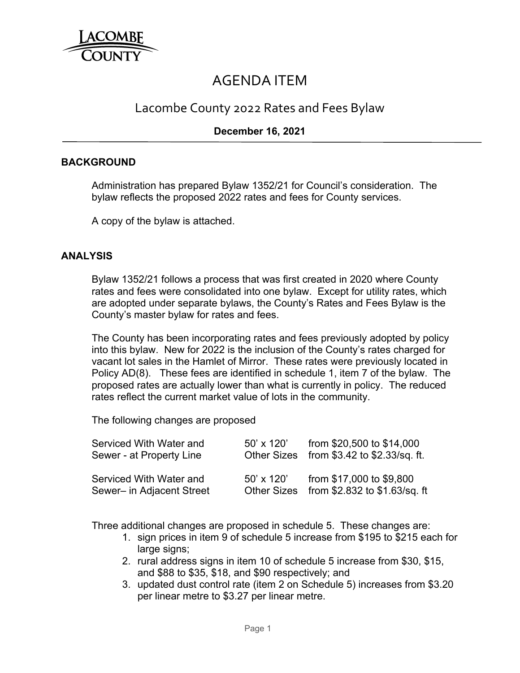

# AGENDA ITEM

# Lacombe County 2022 Rates and Fees Bylaw

## **December 16, 2021**

#### **BACKGROUND**

Administration has prepared Bylaw 1352/21 for Council's consideration. The bylaw reflects the proposed 2022 rates and fees for County services.

A copy of the bylaw is attached.

#### **ANALYSIS**

Bylaw 1352/21 follows a process that was first created in 2020 where County rates and fees were consolidated into one bylaw. Except for utility rates, which are adopted under separate bylaws, the County's Rates and Fees Bylaw is the County's master bylaw for rates and fees.

The County has been incorporating rates and fees previously adopted by policy into this bylaw. New for 2022 is the inclusion of the County's rates charged for vacant lot sales in the Hamlet of Mirror. These rates were previously located in Policy AD(8). These fees are identified in schedule 1, item 7 of the bylaw. The proposed rates are actually lower than what is currently in policy. The reduced rates reflect the current market value of lots in the community.

The following changes are proposed

| Serviced With Water and<br>Sewer - at Property Line  | $50' \times 120'$ | from \$20,500 to \$14,000<br>Other Sizes from \$3.42 to \$2.33/sq. ft. |
|------------------------------------------------------|-------------------|------------------------------------------------------------------------|
| Serviced With Water and<br>Sewer- in Adjacent Street | $50' \times 120'$ | from \$17,000 to \$9,800<br>Other Sizes from \$2.832 to \$1.63/sq. ft  |

Three additional changes are proposed in schedule 5. These changes are:

- 1. sign prices in item 9 of schedule 5 increase from \$195 to \$215 each for large signs;
- 2. rural address signs in item 10 of schedule 5 increase from \$30, \$15, and \$88 to \$35, \$18, and \$90 respectively; and
- 3. updated dust control rate (item 2 on Schedule 5) increases from \$3.20 per linear metre to \$3.27 per linear metre.